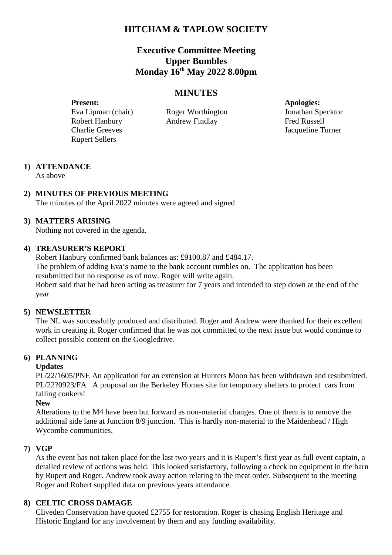# **HITCHAM & TAPLOW SOCIETY**

# **Executive Committee Meeting Upper Bumbles Monday 16th May 2022 8.00pm**

## **MINUTES**

**Present: Apologies:** Eva Lipman (chair) Roger Worthington Jonathan Specktor Robert Hanbury **Andrew Findlay** Fred Russell Charlie Greeves Jacqueline Turner Rupert Sellers

# **1) ATTENDANCE**

As above

## **2) MINUTES OF PREVIOUS MEETING**

The minutes of the April 2022 minutes were agreed and signed

## **3) MATTERS ARISING**

Nothing not covered in the agenda.

### **4) TREASURER'S REPORT**

Robert Hanbury confirmed bank balances as: £9100.87 and £484.17. The problem of adding Eva's name to the bank account rumbles on. The application has been resubmitted but no response as of now. Roger will write again. Robert said that he had been acting as treasurer for 7 years and intended to step down at the end of the year.

## **5) NEWSLETTER**

The NL was successfully produced and distributed. Roger and Andrew were thanked for their excellent work in creating it. Roger confirmed that he was not committed to the next issue but would continue to collect possible content on the Googledrive.

## **6) PLANNING**

### **Updates**

PL/22/1605/PNE An application for an extension at Hunters Moon has been withdrawn and resubmitted. PL/22?0923/FA A proposal on the Berkeley Homes site for temporary shelters to protect cars from falling conkers!

### **New**

Alterations to the M4 have been but forward as non-material changes. One of them is to remove the additional side lane at Junction 8/9 junction. This is hardly non-material to the Maidenhead / High Wycombe communities.

### **7) VGP**

As the event has not taken place for the last two years and it is Rupert's first year as full event captain, a detailed review of actions was held. This looked satisfactory, following a check on equipment in the barn by Rupert and Roger. Andrew took away action relating to the meat order. Subsequent to the meeting Roger and Robert supplied data on previous years attendance.

## **8) CELTIC CROSS DAMAGE**

Cliveden Conservation have quoted £2755 for restoration. Roger is chasing English Heritage and Historic England for any involvement by them and any funding availability.